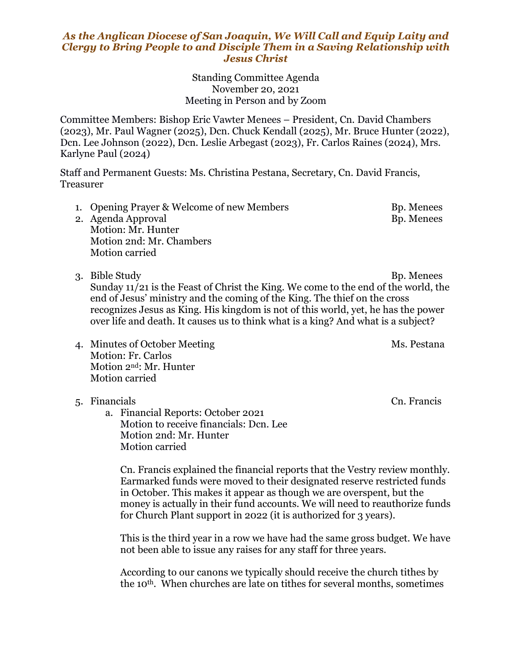## *As the Anglican Diocese of San Joaquin, We Will Call and Equip Laity and Clergy to Bring People to and Disciple Them in a Saving Relationship with Jesus Christ*

Standing Committee Agenda November 20, 2021 Meeting in Person and by Zoom

Committee Members: Bishop Eric Vawter Menees – President, Cn. David Chambers (2023), Mr. Paul Wagner (2025), Dcn. Chuck Kendall (2025), Mr. Bruce Hunter (2022), Dcn. Lee Johnson (2022), Dcn. Leslie Arbegast (2023), Fr. Carlos Raines (2024), Mrs. Karlyne Paul (2024)

Staff and Permanent Guests: Ms. Christina Pestana, Secretary, Cn. David Francis, Treasurer

- 1. Opening Prayer & Welcome of new Members Bp. Menees 2. Agenda Approval Bp. Menees
- Motion: Mr. Hunter Motion 2nd: Mr. Chambers Motion carried
- 

3. Bible Study Bp. Menees Sunday 11/21 is the Feast of Christ the King. We come to the end of the world, the end of Jesus' ministry and the coming of the King. The thief on the cross recognizes Jesus as King. His kingdom is not of this world, yet, he has the power over life and death. It causes us to think what is a king? And what is a subject?

4. Minutes of October Meeting Ms. Pestana Motion: Fr. Carlos Motion 2nd: Mr. Hunter Motion carried

## 5. Financials Cn. Francis

a. Financial Reports: October 2021 Motion to receive financials: Dcn. Lee Motion 2nd: Mr. Hunter Motion carried

Cn. Francis explained the financial reports that the Vestry review monthly. Earmarked funds were moved to their designated reserve restricted funds in October. This makes it appear as though we are overspent, but the money is actually in their fund accounts. We will need to reauthorize funds for Church Plant support in 2022 (it is authorized for 3 years).

This is the third year in a row we have had the same gross budget. We have not been able to issue any raises for any staff for three years.

According to our canons we typically should receive the church tithes by the 10th. When churches are late on tithes for several months, sometimes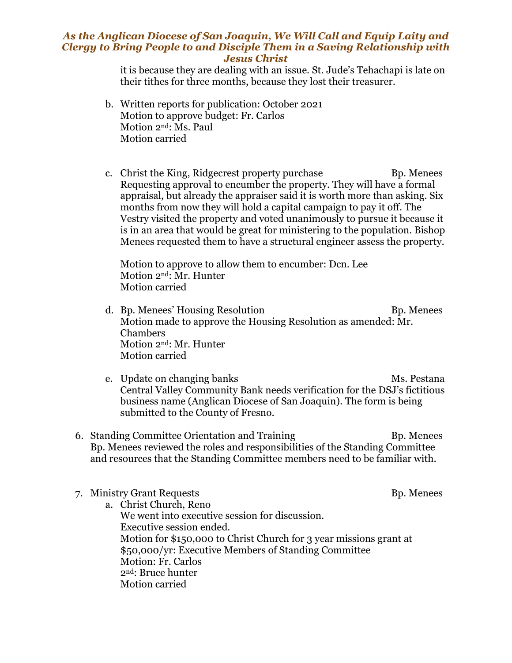## *As the Anglican Diocese of San Joaquin, We Will Call and Equip Laity and Clergy to Bring People to and Disciple Them in a Saving Relationship with Jesus Christ*

it is because they are dealing with an issue. St. Jude's Tehachapi is late on their tithes for three months, because they lost their treasurer.

- b. Written reports for publication: October 2021 Motion to approve budget: Fr. Carlos Motion 2nd: Ms. Paul Motion carried
- c. Christ the King, Ridgecrest property purchase Bp. Menees Requesting approval to encumber the property. They will have a formal appraisal, but already the appraiser said it is worth more than asking. Six months from now they will hold a capital campaign to pay it off. The Vestry visited the property and voted unanimously to pursue it because it is in an area that would be great for ministering to the population. Bishop Menees requested them to have a structural engineer assess the property.

Motion to approve to allow them to encumber: Dcn. Lee Motion 2nd: Mr. Hunter Motion carried

- d. Bp. Menees' Housing Resolution and Bp. Menees Motion made to approve the Housing Resolution as amended: Mr. Chambers Motion 2nd: Mr. Hunter Motion carried
- e. Update on changing banks Ms. Pestana Central Valley Community Bank needs verification for the DSJ's fictitious business name (Anglican Diocese of San Joaquin). The form is being submitted to the County of Fresno.
- 6. Standing Committee Orientation and Training Training Bp. Menees Bp. Menees reviewed the roles and responsibilities of the Standing Committee and resources that the Standing Committee members need to be familiar with.
- 7. Ministry Grant Requests Bp. Menees a. Christ Church, Reno We went into executive session for discussion. Executive session ended. Motion for \$150,000 to Christ Church for 3 year missions grant at \$50,000/yr: Executive Members of Standing Committee Motion: Fr. Carlos 2nd: Bruce hunter Motion carried